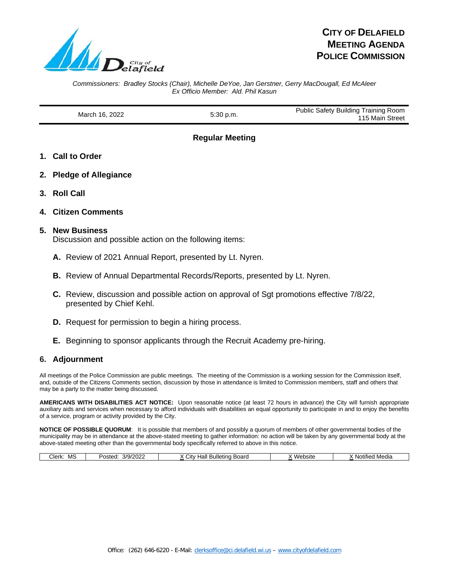

# **CITY OF DELAFIELD MEETING AGENDA POLICE COMMISSION**

*Commissioners: Bradley Stocks (Chair), Michelle DeYoe, Jan Gerstner, Gerry MacDougall, Ed McAleer Ex Officio Member: Ald. Phil Kasun*

March 16, 2022 **5:30 p.m.** Public Safety Building Training Room 115 Main Street

**Regular Meeting**

- **1. Call to Order**
- **2. Pledge of Allegiance**
- **3. Roll Call**
- **4. Citizen Comments**

#### **5. New Business**

Discussion and possible action on the following items:

- **A.** Review of 2021 Annual Report, presented by Lt. Nyren.
- **B.** Review of Annual Departmental Records/Reports, presented by Lt. Nyren.
- **C.** Review, discussion and possible action on approval of Sgt promotions effective 7/8/22, presented by Chief Kehl.
- **D.** Request for permission to begin a hiring process.
- **E.** Beginning to sponsor applicants through the Recruit Academy pre-hiring.

#### **6. Adjournment**

All meetings of the Police Commission are public meetings. The meeting of the Commission is a working session for the Commission itself, and, outside of the Citizens Comments section, discussion by those in attendance is limited to Commission members, staff and others that may be a party to the matter being discussed.

**AMERICANS WITH DISABILITIES ACT NOTICE:** Upon reasonable notice (at least 72 hours in advance) the City will furnish appropriate auxiliary aids and services when necessary to afford individuals with disabilities an equal opportunity to participate in and to enjoy the benefits of a service, program or activity provided by the City.

**NOTICE OF POSSIBLE QUORUM**: It is possible that members of and possibly a quorum of members of other governmental bodies of the municipality may be in attendance at the above-stated meeting to gather information: no action will be taken by any governmental body at the above-stated meeting other than the governmental body specifically referred to above in this notice.

| 2/9/202<br>3ulletino<br>Website<br>MS<br>Clerk:<br>Hall<br>Board<br>Posted<br>∵ ااٺ<br>d Media<br>∵ NOtiti⊾.<br>ZUZ.<br>. |
|---------------------------------------------------------------------------------------------------------------------------|
|---------------------------------------------------------------------------------------------------------------------------|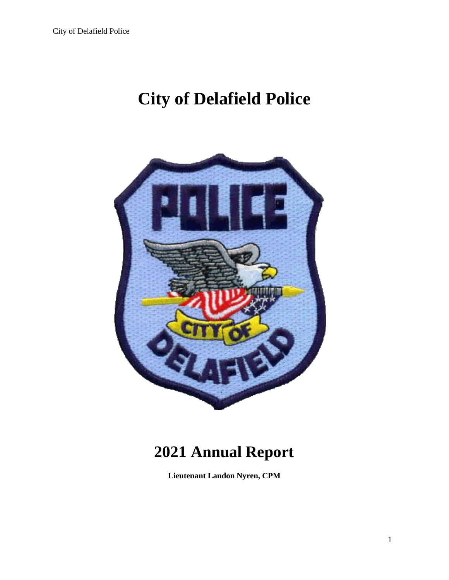# **City of Delafield Police**



# **2021 Annual Report**

**Lieutenant Landon Nyren, CPM**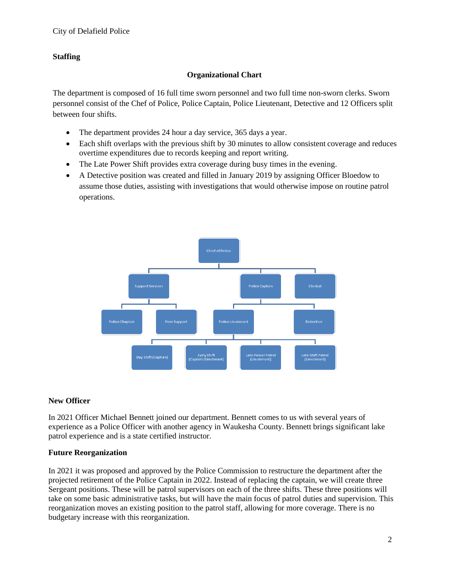# **Staffing**

## **Organizational Chart**

The department is composed of 16 full time sworn personnel and two full time non-sworn clerks. Sworn personnel consist of the Chef of Police, Police Captain, Police Lieutenant, Detective and 12 Officers split between four shifts.

- The department provides 24 hour a day service, 365 days a year.
- Each shift overlaps with the previous shift by 30 minutes to allow consistent coverage and reduces overtime expenditures due to records keeping and report writing.
- The Late Power Shift provides extra coverage during busy times in the evening.
- A Detective position was created and filled in January 2019 by assigning Officer Bloedow to assume those duties, assisting with investigations that would otherwise impose on routine patrol operations.



# **New Officer**

In 2021 Officer Michael Bennett joined our department. Bennett comes to us with several years of experience as a Police Officer with another agency in Waukesha County. Bennett brings significant lake patrol experience and is a state certified instructor.

#### **Future Reorganization**

In 2021 it was proposed and approved by the Police Commission to restructure the department after the projected retirement of the Police Captain in 2022. Instead of replacing the captain, we will create three Sergeant positions. These will be patrol supervisors on each of the three shifts. These three positions will take on some basic administrative tasks, but will have the main focus of patrol duties and supervision. This reorganization moves an existing position to the patrol staff, allowing for more coverage. There is no budgetary increase with this reorganization.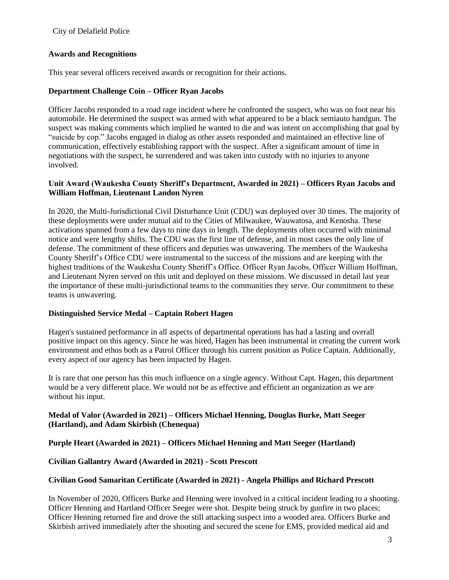#### City of Delafield Police

#### **Awards and Recognitions**

This year several officers received awards or recognition for their actions.

## **Department Challenge Coin – Officer Ryan Jacobs**

Officer Jacobs responded to a road rage incident where he confronted the suspect, who was on foot near his automobile. He determined the suspect was armed with what appeared to be a black semiauto handgun. The suspect was making comments which implied he wanted to die and was intent on accomplishing that goal by "suicide by cop." Jacobs engaged in dialog as other assets responded and maintained an effective line of communication, effectively establishing rapport with the suspect. After a significant amount of time in negotiations with the suspect, he surrendered and was taken into custody with no injuries to anyone involved.

## **Unit Award (Waukesha County Sheriff's Department, Awarded in 2021) – Officers Ryan Jacobs and William Hoffman, Lieutenant Landon Nyren**

In 2020, the Multi-Jurisdictional Civil Disturbance Unit (CDU) was deployed over 30 times. The majority of these deployments were under mutual aid to the Cities of Milwaukee, Wauwatosa, and Kenosha. These activations spanned from a few days to nine days in length. The deployments often occurred with minimal notice and were lengthy shifts. The CDU was the first line of defense, and in most cases the only line of defense. The commitment of these officers and deputies was unwavering. The members of the Waukesha County Sheriff's Office CDU were instrumental to the success of the missions and are keeping with the highest traditions of the Waukesha County Sheriff's Office. Officer Ryan Jacobs, Officer William Hoffman, and Lieutenant Nyren served on this unit and deployed on these missions. We discussed in detail last year the importance of these multi-jurisdictional teams to the communities they serve. Our commitment to these teams is unwavering.

#### **Distinguished Service Medal – Captain Robert Hagen**

Hagen's sustained performance in all aspects of departmental operations has had a lasting and overall positive impact on this agency. Since he was hired, Hagen has been instrumental in creating the current work environment and ethos both as a Patrol Officer through his current position as Police Captain. Additionally, every aspect of our agency has been impacted by Hagen.

It is rare that one person has this much influence on a single agency. Without Capt. Hagen, this department would be a very different place. We would not be as effective and efficient an organization as we are without his input.

## **Medal of Valor (Awarded in 2021) – Officers Michael Henning, Douglas Burke, Matt Seeger (Hartland), and Adam Skirbish (Chenequa)**

# **Purple Heart (Awarded in 2021) – Officers Michael Henning and Matt Seeger (Hartland)**

#### **Civilian Gallantry Award (Awarded in 2021) - Scott Prescott**

#### **Civilian Good Samaritan Certificate (Awarded in 2021) - Angela Phillips and Richard Prescott**

In November of 2020, Officers Burke and Henning were involved in a critical incident leading to a shooting. Officer Henning and Hartland Officer Seeger were shot. Despite being struck by gunfire in two places; Officer Henning returned fire and drove the still attacking suspect into a wooded area. Officers Burke and Skirbish arrived immediately after the shooting and secured the scene for EMS, provided medical aid and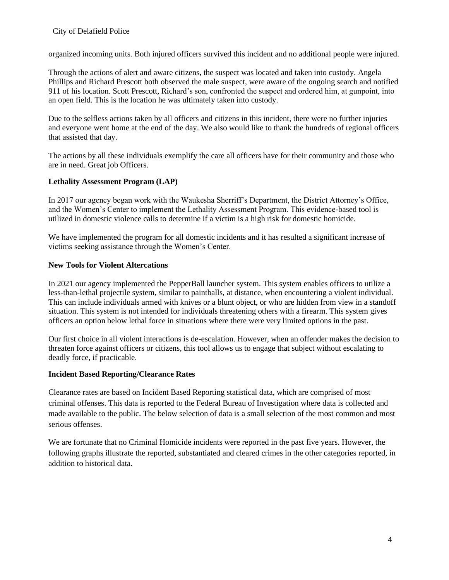organized incoming units. Both injured officers survived this incident and no additional people were injured.

Through the actions of alert and aware citizens, the suspect was located and taken into custody. Angela Phillips and Richard Prescott both observed the male suspect, were aware of the ongoing search and notified 911 of his location. Scott Prescott, Richard's son, confronted the suspect and ordered him, at gunpoint, into an open field. This is the location he was ultimately taken into custody.

Due to the selfless actions taken by all officers and citizens in this incident, there were no further injuries and everyone went home at the end of the day. We also would like to thank the hundreds of regional officers that assisted that day.

The actions by all these individuals exemplify the care all officers have for their community and those who are in need. Great job Officers.

# **Lethality Assessment Program (LAP)**

In 2017 our agency began work with the Waukesha Sherriff's Department, the District Attorney's Office, and the Women's Center to implement the Lethality Assessment Program. This evidence-based tool is utilized in domestic violence calls to determine if a victim is a high risk for domestic homicide.

We have implemented the program for all domestic incidents and it has resulted a significant increase of victims seeking assistance through the Women's Center.

#### **New Tools for Violent Altercations**

In 2021 our agency implemented the PepperBall launcher system. This system enables officers to utilize a less-than-lethal projectile system, similar to paintballs, at distance, when encountering a violent individual. This can include individuals armed with knives or a blunt object, or who are hidden from view in a standoff situation. This system is not intended for individuals threatening others with a firearm. This system gives officers an option below lethal force in situations where there were very limited options in the past.

Our first choice in all violent interactions is de-escalation. However, when an offender makes the decision to threaten force against officers or citizens, this tool allows us to engage that subject without escalating to deadly force, if practicable.

#### **Incident Based Reporting/Clearance Rates**

Clearance rates are based on Incident Based Reporting statistical data, which are comprised of most criminal offenses. This data is reported to the Federal Bureau of Investigation where data is collected and made available to the public. The below selection of data is a small selection of the most common and most serious offenses.

We are fortunate that no Criminal Homicide incidents were reported in the past five years. However, the following graphs illustrate the reported, substantiated and cleared crimes in the other categories reported, in addition to historical data.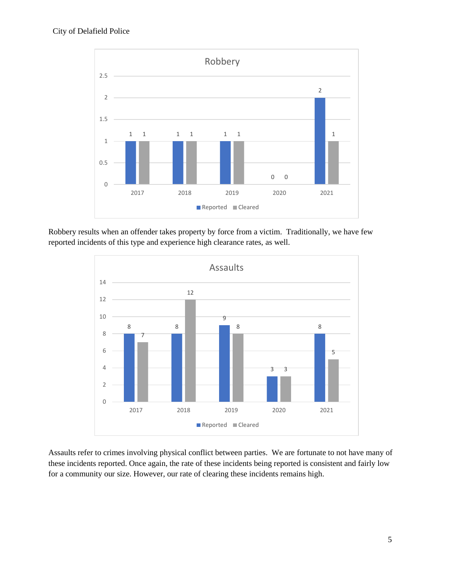

Robbery results when an offender takes property by force from a victim. Traditionally, we have few reported incidents of this type and experience high clearance rates, as well.



Assaults refer to crimes involving physical conflict between parties. We are fortunate to not have many of these incidents reported. Once again, the rate of these incidents being reported is consistent and fairly low for a community our size. However, our rate of clearing these incidents remains high.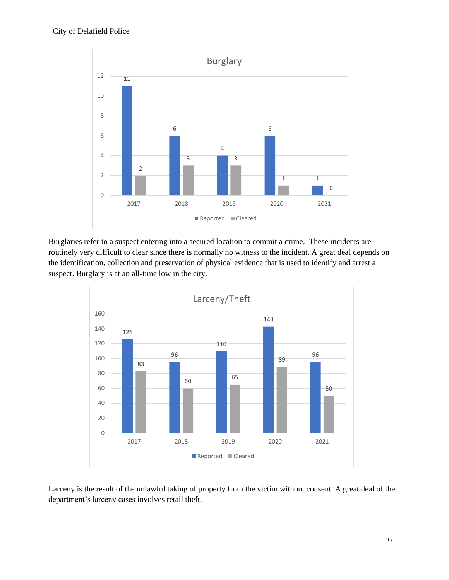

Burglaries refer to a suspect entering into a secured location to commit a crime. These incidents are routinely very difficult to clear since there is normally no witness to the incident. A great deal depends on the identification, collection and preservation of physical evidence that is used to identify and arrest a suspect. Burglary is at an all-time low in the city.



Larceny is the result of the unlawful taking of property from the victim without consent. A great deal of the department's larceny cases involves retail theft.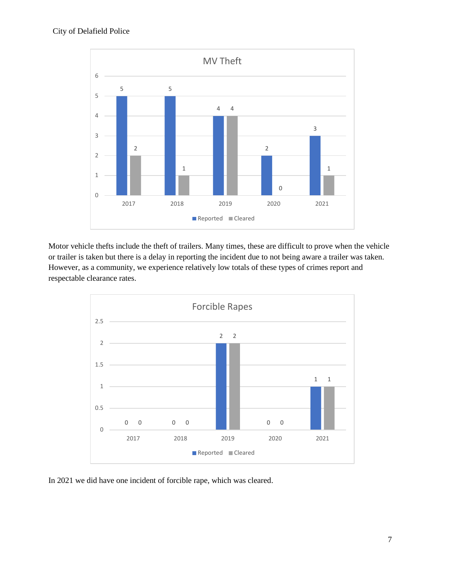

Motor vehicle thefts include the theft of trailers. Many times, these are difficult to prove when the vehicle or trailer is taken but there is a delay in reporting the incident due to not being aware a trailer was taken. However, as a community, we experience relatively low totals of these types of crimes report and respectable clearance rates.



In 2021 we did have one incident of forcible rape, which was cleared.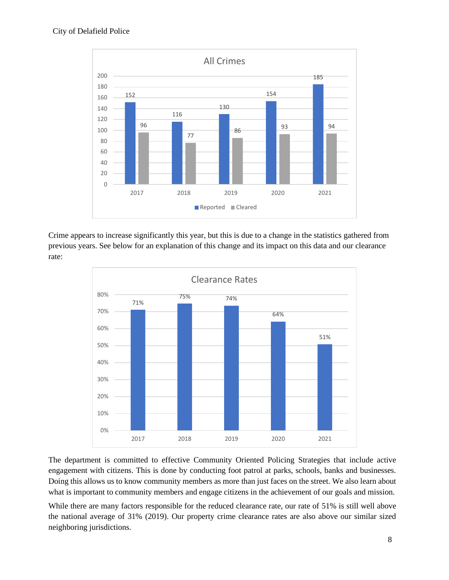

Crime appears to increase significantly this year, but this is due to a change in the statistics gathered from previous years. See below for an explanation of this change and its impact on this data and our clearance rate:



The department is committed to effective Community Oriented Policing Strategies that include active engagement with citizens. This is done by conducting foot patrol at parks, schools, banks and businesses. Doing this allows us to know community members as more than just faces on the street. We also learn about what is important to community members and engage citizens in the achievement of our goals and mission.

While there are many factors responsible for the reduced clearance rate, our rate of 51% is still well above the national average of 31% (2019). Our property crime clearance rates are also above our similar sized neighboring jurisdictions.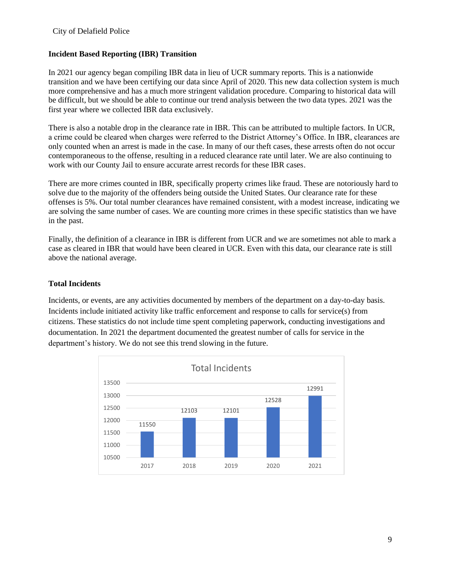## **Incident Based Reporting (IBR) Transition**

In 2021 our agency began compiling IBR data in lieu of UCR summary reports. This is a nationwide transition and we have been certifying our data since April of 2020. This new data collection system is much more comprehensive and has a much more stringent validation procedure. Comparing to historical data will be difficult, but we should be able to continue our trend analysis between the two data types. 2021 was the first year where we collected IBR data exclusively.

There is also a notable drop in the clearance rate in IBR. This can be attributed to multiple factors. In UCR, a crime could be cleared when charges were referred to the District Attorney's Office. In IBR, clearances are only counted when an arrest is made in the case. In many of our theft cases, these arrests often do not occur contemporaneous to the offense, resulting in a reduced clearance rate until later. We are also continuing to work with our County Jail to ensure accurate arrest records for these IBR cases.

There are more crimes counted in IBR, specifically property crimes like fraud. These are notoriously hard to solve due to the majority of the offenders being outside the United States. Our clearance rate for these offenses is 5%. Our total number clearances have remained consistent, with a modest increase, indicating we are solving the same number of cases. We are counting more crimes in these specific statistics than we have in the past.

Finally, the definition of a clearance in IBR is different from UCR and we are sometimes not able to mark a case as cleared in IBR that would have been cleared in UCR. Even with this data, our clearance rate is still above the national average.

## **Total Incidents**

Incidents, or events, are any activities documented by members of the department on a day-to-day basis. Incidents include initiated activity like traffic enforcement and response to calls for service(s) from citizens. These statistics do not include time spent completing paperwork, conducting investigations and documentation. In 2021 the department documented the greatest number of calls for service in the department's history. We do not see this trend slowing in the future.

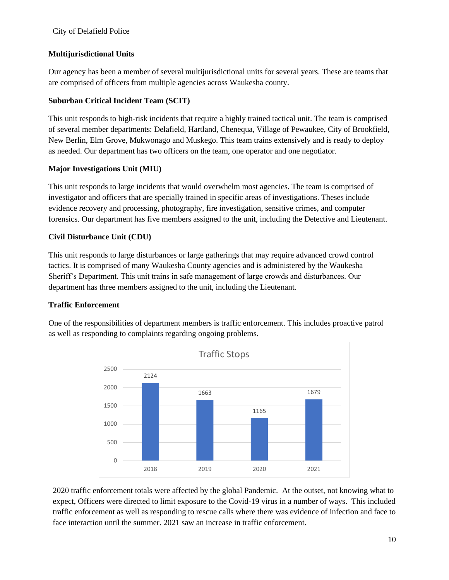# **Multijurisdictional Units**

Our agency has been a member of several multijurisdictional units for several years. These are teams that are comprised of officers from multiple agencies across Waukesha county.

# **Suburban Critical Incident Team (SCIT)**

This unit responds to high-risk incidents that require a highly trained tactical unit. The team is comprised of several member departments: Delafield, Hartland, Chenequa, Village of Pewaukee, City of Brookfield, New Berlin, Elm Grove, Mukwonago and Muskego. This team trains extensively and is ready to deploy as needed. Our department has two officers on the team, one operator and one negotiator.

# **Major Investigations Unit (MIU)**

This unit responds to large incidents that would overwhelm most agencies. The team is comprised of investigator and officers that are specially trained in specific areas of investigations. Theses include evidence recovery and processing, photography, fire investigation, sensitive crimes, and computer forensics. Our department has five members assigned to the unit, including the Detective and Lieutenant.

# **Civil Disturbance Unit (CDU)**

This unit responds to large disturbances or large gatherings that may require advanced crowd control tactics. It is comprised of many Waukesha County agencies and is administered by the Waukesha Sheriff's Department. This unit trains in safe management of large crowds and disturbances. Our department has three members assigned to the unit, including the Lieutenant.

# **Traffic Enforcement**

One of the responsibilities of department members is traffic enforcement. This includes proactive patrol as well as responding to complaints regarding ongoing problems.



2020 traffic enforcement totals were affected by the global Pandemic. At the outset, not knowing what to expect, Officers were directed to limit exposure to the Covid-19 virus in a number of ways. This included traffic enforcement as well as responding to rescue calls where there was evidence of infection and face to face interaction until the summer. 2021 saw an increase in traffic enforcement.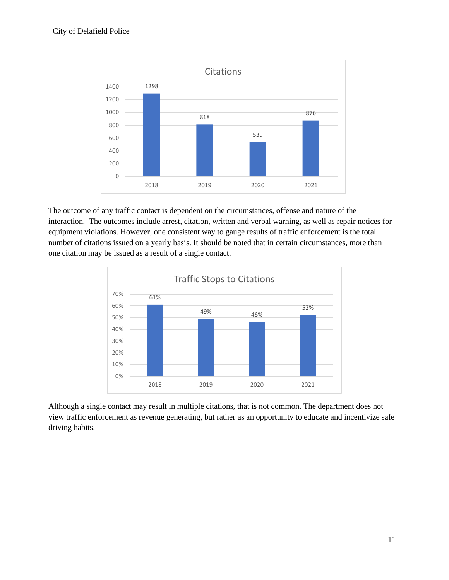

The outcome of any traffic contact is dependent on the circumstances, offense and nature of the interaction. The outcomes include arrest, citation, written and verbal warning, as well as repair notices for equipment violations. However, one consistent way to gauge results of traffic enforcement is the total number of citations issued on a yearly basis. It should be noted that in certain circumstances, more than one citation may be issued as a result of a single contact.



Although a single contact may result in multiple citations, that is not common. The department does not view traffic enforcement as revenue generating, but rather as an opportunity to educate and incentivize safe driving habits.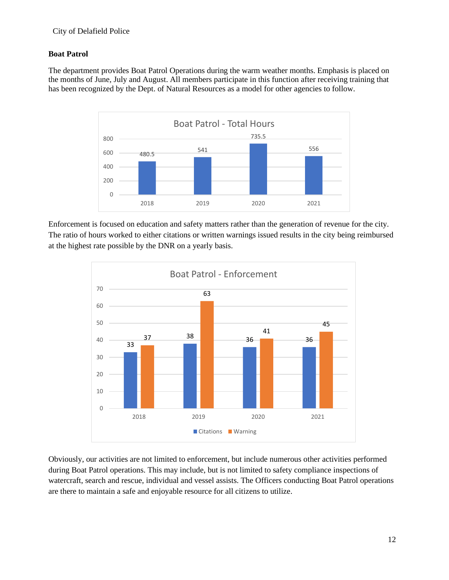# **Boat Patrol**

The department provides Boat Patrol Operations during the warm weather months. Emphasis is placed on the months of June, July and August. All members participate in this function after receiving training that has been recognized by the Dept. of Natural Resources as a model for other agencies to follow.



Enforcement is focused on education and safety matters rather than the generation of revenue for the city. The ratio of hours worked to either citations or written warnings issued results in the city being reimbursed at the highest rate possible by the DNR on a yearly basis.



Obviously, our activities are not limited to enforcement, but include numerous other activities performed during Boat Patrol operations. This may include, but is not limited to safety compliance inspections of watercraft, search and rescue, individual and vessel assists. The Officers conducting Boat Patrol operations are there to maintain a safe and enjoyable resource for all citizens to utilize.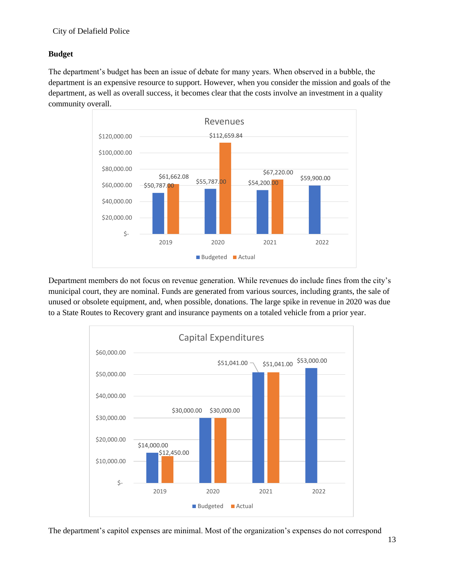# **Budget**

The department's budget has been an issue of debate for many years. When observed in a bubble, the department is an expensive resource to support. However, when you consider the mission and goals of the department, as well as overall success, it becomes clear that the costs involve an investment in a quality community overall.



Department members do not focus on revenue generation. While revenues do include fines from the city's municipal court, they are nominal. Funds are generated from various sources, including grants, the sale of unused or obsolete equipment, and, when possible, donations. The large spike in revenue in 2020 was due to a State Routes to Recovery grant and insurance payments on a totaled vehicle from a prior year.



The department's capitol expenses are minimal. Most of the organization's expenses do not correspond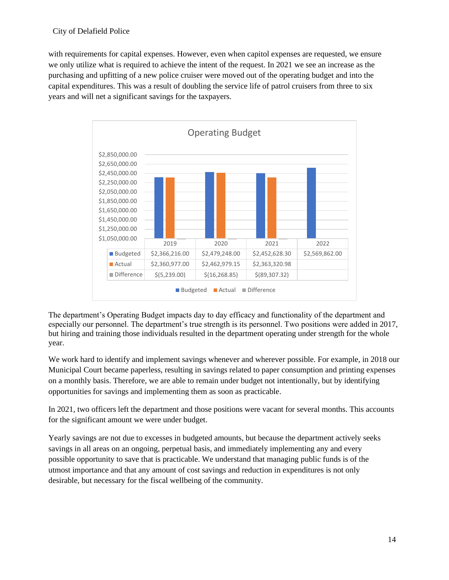with requirements for capital expenses. However, even when capitol expenses are requested, we ensure we only utilize what is required to achieve the intent of the request. In 2021 we see an increase as the purchasing and upfitting of a new police cruiser were moved out of the operating budget and into the capital expenditures. This was a result of doubling the service life of patrol cruisers from three to six years and will net a significant savings for the taxpayers.



The department's Operating Budget impacts day to day efficacy and functionality of the department and especially our personnel. The department's true strength is its personnel. Two positions were added in 2017, but hiring and training those individuals resulted in the department operating under strength for the whole year.

We work hard to identify and implement savings whenever and wherever possible. For example, in 2018 our Municipal Court became paperless, resulting in savings related to paper consumption and printing expenses on a monthly basis. Therefore, we are able to remain under budget not intentionally, but by identifying opportunities for savings and implementing them as soon as practicable.

In 2021, two officers left the department and those positions were vacant for several months. This accounts for the significant amount we were under budget.

Yearly savings are not due to excesses in budgeted amounts, but because the department actively seeks savings in all areas on an ongoing, perpetual basis, and immediately implementing any and every possible opportunity to save that is practicable. We understand that managing public funds is of the utmost importance and that any amount of cost savings and reduction in expenditures is not only desirable, but necessary for the fiscal wellbeing of the community.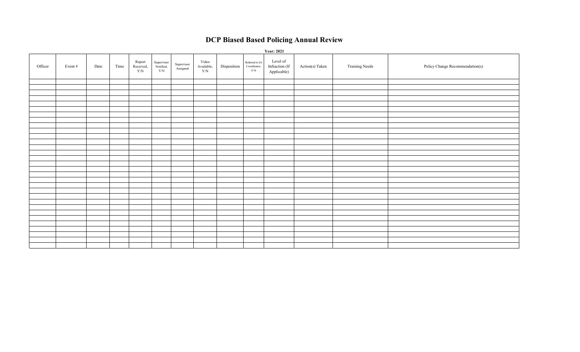# **DCP Biased Based Policing Annual Review**

|         | <b>Year: 2021</b> |      |      |                            |                                        |                        |                                    |             |                                       |                                           |                 |                       |                                 |
|---------|-------------------|------|------|----------------------------|----------------------------------------|------------------------|------------------------------------|-------------|---------------------------------------|-------------------------------------------|-----------------|-----------------------|---------------------------------|
| Officer | Event #           | Date | Time | Report<br>Received,<br>Y/N | Supervisor<br>Notified,<br>${\rm Y/N}$ | Supervisor<br>Assigned | Video<br>Available,<br>${\rm Y/N}$ | Disposition | Referred to IA<br>Coordinator,<br>Y/N | Level of<br>Infraction (If<br>Applicable) | Action(s) Taken | <b>Training Needs</b> | Policy Change Recommendation(s) |
|         |                   |      |      |                            |                                        |                        |                                    |             |                                       |                                           |                 |                       |                                 |
|         |                   |      |      |                            |                                        |                        |                                    |             |                                       |                                           |                 |                       |                                 |
|         |                   |      |      |                            |                                        |                        |                                    |             |                                       |                                           |                 |                       |                                 |
|         |                   |      |      |                            |                                        |                        |                                    |             |                                       |                                           |                 |                       |                                 |
|         |                   |      |      |                            |                                        |                        |                                    |             |                                       |                                           |                 |                       |                                 |
|         |                   |      |      |                            |                                        |                        |                                    |             |                                       |                                           |                 |                       |                                 |
|         |                   |      |      |                            |                                        |                        |                                    |             |                                       |                                           |                 |                       |                                 |
|         |                   |      |      |                            |                                        |                        |                                    |             |                                       |                                           |                 |                       |                                 |
|         |                   |      |      |                            |                                        |                        |                                    |             |                                       |                                           |                 |                       |                                 |
|         |                   |      |      |                            |                                        |                        |                                    |             |                                       |                                           |                 |                       |                                 |
|         |                   |      |      |                            |                                        |                        |                                    |             |                                       |                                           |                 |                       |                                 |
|         |                   |      |      |                            |                                        |                        |                                    |             |                                       |                                           |                 |                       |                                 |
|         |                   |      |      |                            |                                        |                        |                                    |             |                                       |                                           |                 |                       |                                 |
|         |                   |      |      |                            |                                        |                        |                                    |             |                                       |                                           |                 |                       |                                 |
|         |                   |      |      |                            |                                        |                        |                                    |             |                                       |                                           |                 |                       |                                 |
|         |                   |      |      |                            |                                        |                        |                                    |             |                                       |                                           |                 |                       |                                 |
|         |                   |      |      |                            |                                        |                        |                                    |             |                                       |                                           |                 |                       |                                 |
|         |                   |      |      |                            |                                        |                        |                                    |             |                                       |                                           |                 |                       |                                 |
|         |                   |      |      |                            |                                        |                        |                                    |             |                                       |                                           |                 |                       |                                 |
|         |                   |      |      |                            |                                        |                        |                                    |             |                                       |                                           |                 |                       |                                 |
|         |                   |      |      |                            |                                        |                        |                                    |             |                                       |                                           |                 |                       |                                 |
|         |                   |      |      |                            |                                        |                        |                                    |             |                                       |                                           |                 |                       |                                 |
|         |                   |      |      |                            |                                        |                        |                                    |             |                                       |                                           |                 |                       |                                 |
|         |                   |      |      |                            |                                        |                        |                                    |             |                                       |                                           |                 |                       |                                 |
|         |                   |      |      |                            |                                        |                        |                                    |             |                                       |                                           |                 |                       |                                 |
|         |                   |      |      |                            |                                        |                        |                                    |             |                                       |                                           |                 |                       |                                 |
|         |                   |      |      |                            |                                        |                        |                                    |             |                                       |                                           |                 |                       |                                 |
|         |                   |      |      |                            |                                        |                        |                                    |             |                                       |                                           |                 |                       |                                 |
|         |                   |      |      |                            |                                        |                        |                                    |             |                                       |                                           |                 |                       |                                 |
|         |                   |      |      |                            |                                        |                        |                                    |             |                                       |                                           |                 |                       |                                 |
|         |                   |      |      |                            |                                        |                        |                                    |             |                                       |                                           |                 |                       |                                 |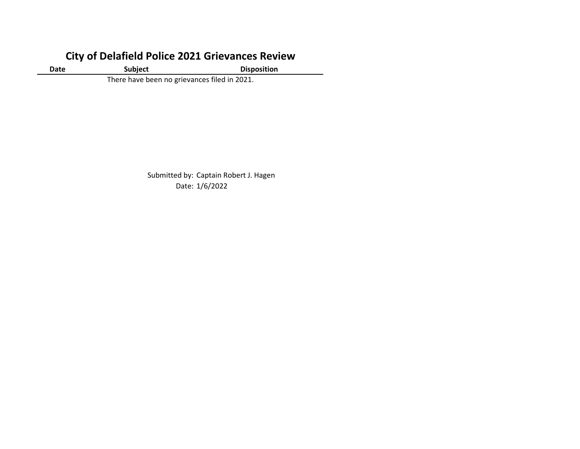# **City of Delafield Police 2021 Grievances Review**

**Date Subject Disposition** 

There have been no grievances filed in 2021.

Submitted by: Captain Robert J. Hagen Date: 1/6/2022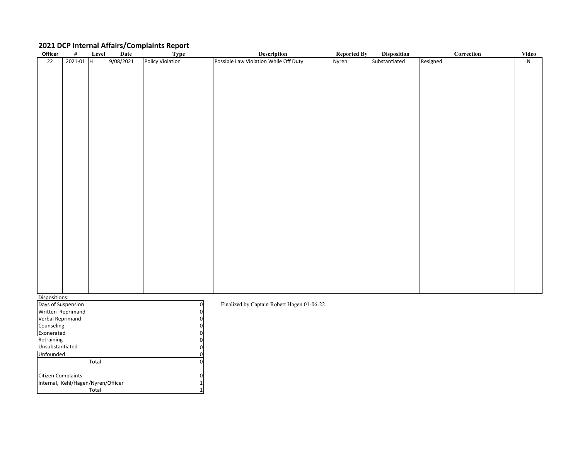# **2021 DCP Internal Affairs/Complaints Report**

| Officer            | $\#$          | Level | Date      | Type             | Description                                | <b>Reported By</b> | <b>Disposition</b> | $\bf Correction$ | Video     |
|--------------------|---------------|-------|-----------|------------------|--------------------------------------------|--------------------|--------------------|------------------|-----------|
| 22                 | $2021 - 01$ H |       | 9/08/2021 | Policy Violation | Possible Law Violation While Off Duty      | Nyren              | Substantiated      | Resigned         | ${\sf N}$ |
|                    |               |       |           |                  |                                            |                    |                    |                  |           |
|                    |               |       |           |                  |                                            |                    |                    |                  |           |
|                    |               |       |           |                  |                                            |                    |                    |                  |           |
|                    |               |       |           |                  |                                            |                    |                    |                  |           |
|                    |               |       |           |                  |                                            |                    |                    |                  |           |
|                    |               |       |           |                  |                                            |                    |                    |                  |           |
|                    |               |       |           |                  |                                            |                    |                    |                  |           |
|                    |               |       |           |                  |                                            |                    |                    |                  |           |
|                    |               |       |           |                  |                                            |                    |                    |                  |           |
|                    |               |       |           |                  |                                            |                    |                    |                  |           |
|                    |               |       |           |                  |                                            |                    |                    |                  |           |
|                    |               |       |           |                  |                                            |                    |                    |                  |           |
|                    |               |       |           |                  |                                            |                    |                    |                  |           |
|                    |               |       |           |                  |                                            |                    |                    |                  |           |
|                    |               |       |           |                  |                                            |                    |                    |                  |           |
|                    |               |       |           |                  |                                            |                    |                    |                  |           |
|                    |               |       |           |                  |                                            |                    |                    |                  |           |
|                    |               |       |           |                  |                                            |                    |                    |                  |           |
|                    |               |       |           |                  |                                            |                    |                    |                  |           |
|                    |               |       |           |                  |                                            |                    |                    |                  |           |
|                    |               |       |           |                  |                                            |                    |                    |                  |           |
|                    |               |       |           |                  |                                            |                    |                    |                  |           |
|                    |               |       |           |                  |                                            |                    |                    |                  |           |
|                    |               |       |           |                  |                                            |                    |                    |                  |           |
|                    |               |       |           |                  |                                            |                    |                    |                  |           |
|                    |               |       |           |                  |                                            |                    |                    |                  |           |
|                    |               |       |           |                  |                                            |                    |                    |                  |           |
|                    |               |       |           |                  |                                            |                    |                    |                  |           |
|                    |               |       |           |                  |                                            |                    |                    |                  |           |
| Dispositions:      |               |       |           |                  |                                            |                    |                    |                  |           |
| Days of Suspension |               |       |           | $\mathbf 0$      | Finalized by Captain Robert Hagen 01-06-22 |                    |                    |                  |           |
| Written Reprimand  |               |       |           | 0                |                                            |                    |                    |                  |           |
| Verbal Reprimand   |               |       |           | $\mathbf 0$      |                                            |                    |                    |                  |           |

Citizen Complaints Internal, Kehl/Hagen/Nyren/Officer Total **Counseling** Exonerated Retraining Unsubstantiated Unfounded Total Verbal Reprimand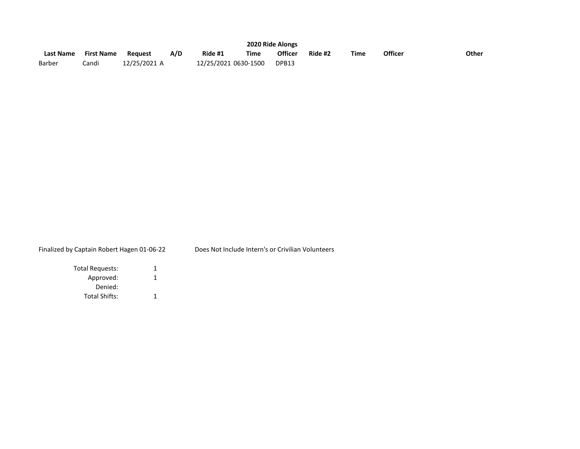|                  |                   |              |     |                      |      | 2020 Ride Alongs |         |             |         |       |  |  |
|------------------|-------------------|--------------|-----|----------------------|------|------------------|---------|-------------|---------|-------|--|--|
| <b>Last Name</b> | <b>First Name</b> | Reauest      | A/D | Ride #1              | Time | <b>Officer</b>   | Ride #2 | <b>Time</b> | Officer | Other |  |  |
| Barber           | Candi             | 12/25/2021 A |     | 12/25/2021 0630-1500 |      | DPB13            |         |             |         |       |  |  |

# Finalized by Captain Robert Hagen 01-06-22 Does Not Include Intern's or Crivilian Volunteers

| Total Requests:      | 1 |
|----------------------|---|
| Approved:            |   |
| Denied:              |   |
| <b>Total Shifts:</b> |   |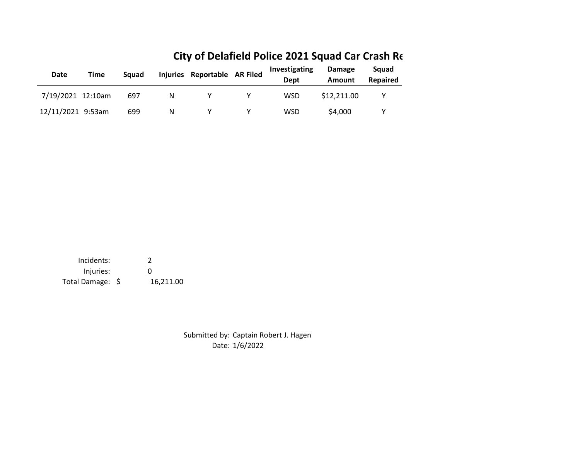| Date              | Time | Sauad |   | Injuries Reportable AR Filed | Investigating<br>Dept | <b>Damage</b><br>Amount | Sauad<br>Repaired |
|-------------------|------|-------|---|------------------------------|-----------------------|-------------------------|-------------------|
| 7/19/2021 12:10am |      | 697   | N |                              | <b>WSD</b>            | \$12,211.00             |                   |
| 12/11/2021 9:53am |      | 699   | N |                              | <b>WSD</b>            | \$4,000                 |                   |

# **City of Delafield Police 2021 Squad Car Crash Re**

Incidents: 2 Injuries: 0 Total Damage: \$ 16,211.00

> Date: 1/6/2022 Submitted by: Captain Robert J. Hagen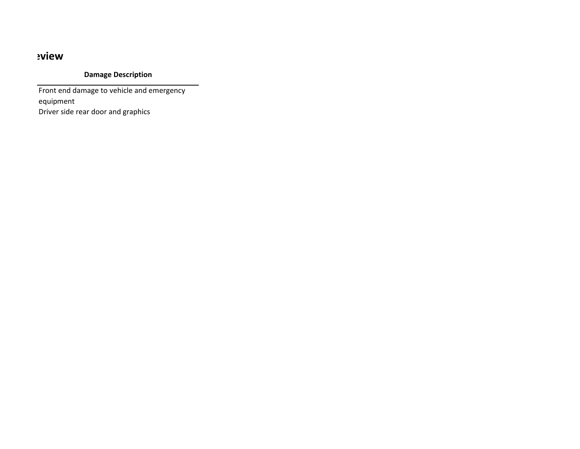# *eview*

# **Damage Description**

Front end damage to vehicle and emergency equipment Driver side rear door and graphics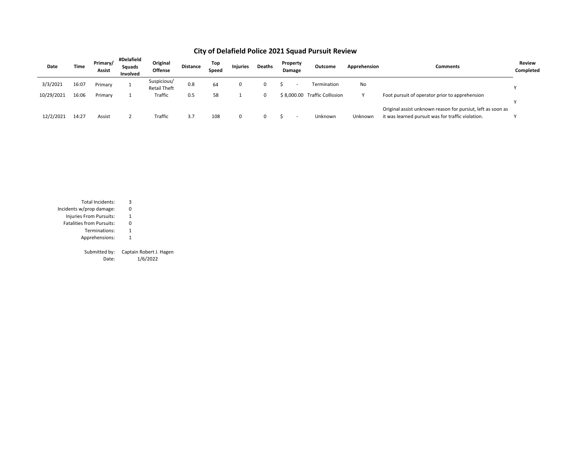| Date       | Time  | Primary/<br>Assist | #Delafield<br>Squads<br>Involved | Original<br>Offense                | <b>Distance</b> | Top<br>Speed | <b>Injuries</b> | <b>Deaths</b> | Property<br>Damage | Outcome                       | Apprehension | Comments                                                                                                         | <b>Review</b><br>Completed |
|------------|-------|--------------------|----------------------------------|------------------------------------|-----------------|--------------|-----------------|---------------|--------------------|-------------------------------|--------------|------------------------------------------------------------------------------------------------------------------|----------------------------|
| 3/3/2021   | 16:07 | Primary            |                                  | Suspicious/<br><b>Retail Theft</b> | 0.8             | 64           | 0               |               |                    | Termination                   | No           |                                                                                                                  |                            |
| 10/29/2021 | 16:06 | Primary            |                                  | Traffic                            | 0.5             | 58           |                 |               |                    | \$8.000.00 Traffic Collission |              | Foot pursuit of operator prior to apprehension                                                                   |                            |
| 12/2/2021  | 14:27 | Assist             |                                  | Traffic                            | 3.7             | 108          | 0               |               |                    | Unknown                       | Unknown      | Original assist unknown reason for pursiut, left as soon as<br>it was learned pursuit was for traffic violation. |                            |

# **City of Delafield Police 2021 Squad Pursuit Review**

| Total Incidents:                 | 3                 |
|----------------------------------|-------------------|
| Incidents w/prop damage:         | 0                 |
| Injuries From Pursuits:          | 1                 |
| <b>Fatalities from Pursuits:</b> | 0                 |
| Terminations:                    | 1                 |
| Apprehensions:                   | 1                 |
|                                  |                   |
| Submitted by:                    | Captain Robert J. |
| n                                | 1 IC IONOO        |

. Hagen

Date: 1/6/2022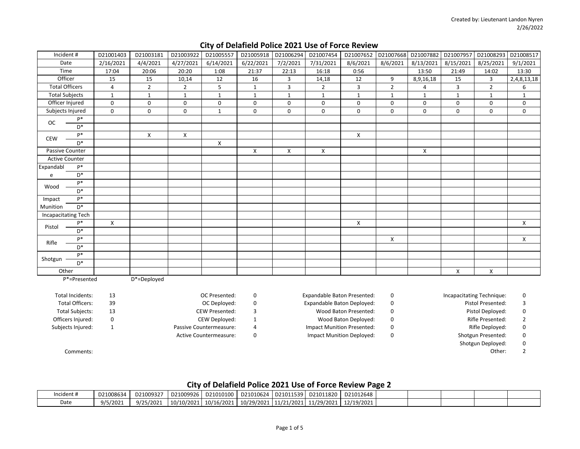| Incident#             |                         | D21001403      | D21003181      | D21003922      | D21005557                     | D21005918    | D21006294    | D21007454                          | D21007652                        | D21007668      | D21007882          | D21007957      | D21008293                 | D21008517      |
|-----------------------|-------------------------|----------------|----------------|----------------|-------------------------------|--------------|--------------|------------------------------------|----------------------------------|----------------|--------------------|----------------|---------------------------|----------------|
| Date                  |                         | 2/16/2021      | 4/4/2021       | 4/27/2021      | 6/14/2021                     | 6/22/2021    | 7/2/2021     | 7/31/2021                          | 8/6/2021                         | 8/6/2021       | 8/13/2021          | 8/15/2021      | 8/25/2021                 | 9/1/2021       |
| Time                  |                         | 17:04          | 20:06          | 20:20          | 1:08                          | 21:37        | 22:13        | 16:18                              | 0:56                             |                | 13:50              | 21:49          | 14:02                     | 13:30          |
| Officer               |                         | 15             | 15             | 10,14          | 12                            | 16           | 3            | 14,18                              | 12                               | 9              | 8,9,16,18          | 15             | 3                         | 2,4,8,13,18    |
| <b>Total Officers</b> |                         | $\overline{4}$ | $\overline{2}$ | $\overline{2}$ | 5                             | $\mathbf{1}$ | 3            | $\overline{2}$                     | 3                                | $\overline{2}$ | 4                  | $\overline{3}$ | $\overline{2}$            | 6              |
| <b>Total Subjects</b> |                         | $\mathbf{1}$   | $\mathbf{1}$   | $\mathbf{1}$   | $\mathbf{1}$                  | $\mathbf{1}$ | $\mathbf{1}$ | 1                                  | $\mathbf{1}$                     | $\mathbf{1}$   | $\mathbf{1}$       | $\mathbf{1}$   | $\mathbf{1}$              | $\mathbf{1}$   |
| Officer Injured       |                         | $\mathbf 0$    | $\mathbf 0$    | 0              | 0                             | 0            | $\mathbf 0$  | 0                                  | 0                                | $\mathbf 0$    | 0                  | $\mathbf 0$    | $\mathbf 0$               | 0              |
| Subjects Injured      |                         | $\mathbf 0$    | $\mathbf 0$    | 0              | $\mathbf{1}$                  | 0            | $\mathbf 0$  | 0                                  | 0                                | $\mathbf 0$    | 0                  | $\mathbf 0$    | $\mathbf 0$               | 0              |
| <b>OC</b>             | $P*$                    |                |                |                |                               |              |              |                                    |                                  |                |                    |                |                           |                |
|                       | $D^*$                   |                |                |                |                               |              |              |                                    |                                  |                |                    |                |                           |                |
| <b>CEW</b>            | $P*$                    |                | X              | X              |                               |              |              |                                    | X                                |                |                    |                |                           |                |
|                       | $D^*$                   |                |                |                | X                             |              |              |                                    |                                  |                |                    |                |                           |                |
| Passive Counter       |                         |                |                |                |                               | X            | X            | X                                  |                                  |                | X                  |                |                           |                |
| <b>Active Counter</b> |                         |                |                |                |                               |              |              |                                    |                                  |                |                    |                |                           |                |
| Expandabl             | $P*$                    |                |                |                |                               |              |              |                                    |                                  |                |                    |                |                           |                |
| e                     | $D^*$                   |                |                |                |                               |              |              |                                    |                                  |                |                    |                |                           |                |
| Wood                  | $P*$                    |                |                |                |                               |              |              |                                    |                                  |                |                    |                |                           |                |
|                       | $D^*$                   |                |                |                |                               |              |              |                                    |                                  |                |                    |                |                           |                |
| Impact                | $P*$                    |                |                |                |                               |              |              |                                    |                                  |                |                    |                |                           |                |
| Munition              | $D^*$                   |                |                |                |                               |              |              |                                    |                                  |                |                    |                |                           |                |
| Incapacitating Tech   |                         |                |                |                |                               |              |              |                                    |                                  |                |                    |                |                           |                |
| Pistol                | $P*$                    | $\pmb{\times}$ |                |                |                               |              |              |                                    | $\pmb{\times}$                   |                |                    |                |                           | $\mathsf{X}$   |
|                       | $D^*$                   |                |                |                |                               |              |              |                                    |                                  |                |                    |                |                           |                |
| Rifle                 | $P*$                    |                |                |                |                               |              |              |                                    |                                  | $\mathsf{X}$   |                    |                |                           | X              |
|                       | $D^*$                   |                |                |                |                               |              |              |                                    |                                  |                |                    |                |                           |                |
|                       | $P*$                    |                |                |                |                               |              |              |                                    |                                  |                |                    |                |                           |                |
| Shotgun               | $D^*$                   |                |                |                |                               |              |              |                                    |                                  |                |                    |                |                           |                |
| Other                 |                         |                |                |                |                               |              |              |                                    |                                  |                |                    | X              | X                         |                |
|                       | P*=Presented            |                | D*=Deployed    |                |                               |              |              |                                    |                                  |                |                    |                |                           |                |
|                       |                         |                |                |                |                               |              |              |                                    |                                  |                |                    |                |                           |                |
|                       | <b>Total Incidents:</b> | 13             |                |                | OC Presented:                 | 0            |              | <b>Expandable Baton Presented:</b> |                                  | 0              |                    |                | Incapacitating Technique: | 0              |
|                       | <b>Total Officers:</b>  | 39             |                |                | OC Deployed:                  | 0            |              | Expandable Baton Deployed:         |                                  | 0              |                    |                | Pistol Presented:         | 3              |
|                       | <b>Total Subjects:</b>  | 13             |                |                | <b>CEW Presented:</b>         | 3            |              |                                    | Wood Baton Presented:            | 0              |                    |                | Pistol Deployed:          | 0              |
|                       | Officers Injured:       | $\mathbf 0$    |                |                | CEW Deployed:                 | $\mathbf{1}$ |              |                                    | Wood Baton Deployed:             | 0              |                    |                | Rifle Presented:          | $\overline{2}$ |
|                       | Subjects Injured:       | $\mathbf{1}$   |                |                | Passive Countermeasure:       | $\sqrt{4}$   |              | <b>Impact Munition Presented:</b>  |                                  | $\pmb{0}$      | Rifle Deployed:    |                |                           | $\pmb{0}$      |
|                       |                         |                |                |                | <b>Active Countermeasure:</b> | $\pmb{0}$    |              |                                    | <b>Impact Munition Deployed:</b> | $\mathbf 0$    | Shotgun Presented: |                |                           | 0              |
|                       |                         |                |                |                |                               |              |              |                                    |                                  |                |                    |                | Shotgun Deployed:         | $\mathsf 0$    |
|                       | Comments:               |                |                |                |                               |              |              |                                    |                                  |                |                    |                | Other:                    | $\overline{2}$ |

# **City of Delafield Police 2021 Use of Force Review**

# **City of Delafield Police 2021 Use of Force Review Page 2**

| Incident# | D21008634 | D21009327 | D21009926  | D21010100  | D21010624  | D21011539  | D21011820  | D21012648  |  |  |  |
|-----------|-----------|-----------|------------|------------|------------|------------|------------|------------|--|--|--|
| Date      | 9/5/2021  | 9/25/2021 | 10/10/2021 | 10/16/2021 | 10/29/2021 | 11/21/2021 | 11/29/2021 | 12/19/2021 |  |  |  |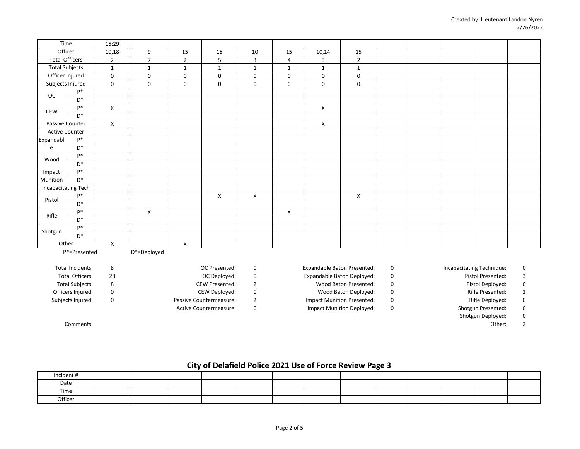| Time                       |                  | 15:29                     |                |                |              |                     |                    |                     |                |  |  |  |
|----------------------------|------------------|---------------------------|----------------|----------------|--------------|---------------------|--------------------|---------------------|----------------|--|--|--|
| Officer                    |                  | 10,18                     | 9              | $15\,$         | 18           | 10                  | 15                 | 10,14               | 15             |  |  |  |
| <b>Total Officers</b>      |                  | $\overline{2}$            | $\overline{7}$ | $\overline{2}$ | 5            | $\mathbf{3}$        | $\overline{4}$     | 3                   | $\overline{2}$ |  |  |  |
| <b>Total Subjects</b>      |                  | $\mathbf{1}$              | $\mathbf{1}$   | $\mathbf{1}$   | $\mathbf{1}$ | $\mathbf{1}$        | $\mathbf{1}$       | $\mathbf{1}$        | $\mathbf{1}$   |  |  |  |
| Officer Injured            |                  | $\mathbf 0$               | 0              | 0              | $\mathbf 0$  | 0                   | $\mathbf 0$        | 0                   | 0              |  |  |  |
| Subjects Injured           |                  | $\mathsf 0$               | $\mathsf 0$    | 0              | $\mathbf 0$  | $\mathsf{O}\xspace$ | $\mathsf 0$        | $\mathsf{O}\xspace$ | $\mathsf 0$    |  |  |  |
| $_{\rm OC}$                | $\mathsf{P}^{*}$ |                           |                |                |              |                     |                    |                     |                |  |  |  |
|                            | $D^*$            |                           |                |                |              |                     |                    |                     |                |  |  |  |
| CEW                        | $\mathsf{P}^*$   | $\mathsf{X}$              |                |                |              |                     |                    | $\pmb{\mathsf{X}}$  |                |  |  |  |
|                            | $D^*$            |                           |                |                |              |                     |                    |                     |                |  |  |  |
| Passive Counter            |                  | $\boldsymbol{\mathsf{X}}$ |                |                |              |                     |                    | X                   |                |  |  |  |
| <b>Active Counter</b>      |                  |                           |                |                |              |                     |                    |                     |                |  |  |  |
| Expandabl                  | $\mathsf{P}^{*}$ |                           |                |                |              |                     |                    |                     |                |  |  |  |
| e                          | $D^*$            |                           |                |                |              |                     |                    |                     |                |  |  |  |
| Wood                       | $\mathsf{P}^{*}$ |                           |                |                |              |                     |                    |                     |                |  |  |  |
|                            | $\mathsf{D}^*$   |                           |                |                |              |                     |                    |                     |                |  |  |  |
| Impact                     | $\mathsf{P}^{*}$ |                           |                |                |              |                     |                    |                     |                |  |  |  |
| Munition                   | $\mathsf{D}^*$   |                           |                |                |              |                     |                    |                     |                |  |  |  |
| <b>Incapacitating Tech</b> |                  |                           |                |                |              |                     |                    |                     |                |  |  |  |
| Pistol                     | $\mathsf{P}^{*}$ |                           |                |                | X            | X                   |                    |                     | $\mathsf{X}$   |  |  |  |
|                            | $D^*$            |                           |                |                |              |                     |                    |                     |                |  |  |  |
| Rifle                      | $\mathsf{P}^*$   |                           | X              |                |              |                     | $\pmb{\mathsf{X}}$ |                     |                |  |  |  |
|                            | $\mathsf{D}^*$   |                           |                |                |              |                     |                    |                     |                |  |  |  |
| Shotgun                    | $\mathsf{P}^*$   |                           |                |                |              |                     |                    |                     |                |  |  |  |
|                            | $D^*$            |                           |                |                |              |                     |                    |                     |                |  |  |  |
| Other                      |                  | X                         |                | X              |              |                     |                    |                     |                |  |  |  |
|                            | P*=Presented     |                           | D*=Deployed    |                |              |                     |                    |                     |                |  |  |  |

| Total Incidents:       | OC Presented:           | Expandable Baton Presented: | Incapacitating Technique: |   |
|------------------------|-------------------------|-----------------------------|---------------------------|---|
| <b>Total Officers:</b> | OC Deployed:            | Expandable Baton Deployed:  | Pistol Presented:         |   |
| <b>Total Subjects:</b> | <b>CEW Presented:</b>   | Wood Baton Presented:       | Pistol Deploved:          | 0 |
| Officers Injured:      | CEW Deployed:           | Wood Baton Deployed:        | Rifle Presented:          |   |
| Subjects Injured:      | Passive Countermeasure: | Impact Munition Presented:  | Rifle Deployed:           |   |

| OC Presented:        | o |
|----------------------|---|
| OC Deployed:         | o |
| <b>EW Presented:</b> | 2 |
| EW Deployed:         | U |
| untermeasure:        | 2 |

0 2 0 0 Subjects Injured: Passive Countermeasure: Impact Munition Presented: Rifle Deployed:

Active Countermeasure:  $\begin{array}{ccc} 0 & \hspace{3cm} \text{Im} \text{part} \text{ M} \text{unit} \text{ion} \text{ Deployed:} & 0 & \hspace{3cm} \text{Shotgun Presented:} \end{array}$ 

8 0 0 0 Total Incidents: OC Presented: Expandable Baton Presented: Incapacitating Technique:

- 0 Shotgun Deployed:
	- 2

Comments: Other:

# **City of Delafield Police 2021 Use of Force Review Page 3**

| Incident # |  |  |  |  |  |  |  |
|------------|--|--|--|--|--|--|--|
| Date       |  |  |  |  |  |  |  |
| Time       |  |  |  |  |  |  |  |
| Officer    |  |  |  |  |  |  |  |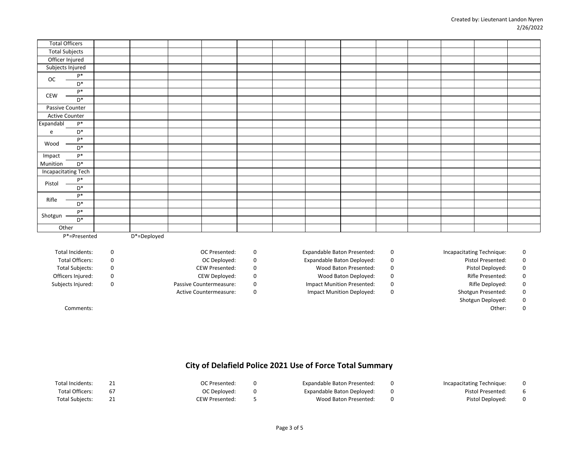| <b>Total Officers</b>      |                |             |  |  |  |  |  |  |
|----------------------------|----------------|-------------|--|--|--|--|--|--|
| <b>Total Subjects</b>      |                |             |  |  |  |  |  |  |
| Officer Injured            |                |             |  |  |  |  |  |  |
| Subjects Injured           |                |             |  |  |  |  |  |  |
| $_{\rm OC}$                | $\mathsf{P}^*$ |             |  |  |  |  |  |  |
|                            | $D^*$          |             |  |  |  |  |  |  |
| CEW                        | $P*$           |             |  |  |  |  |  |  |
|                            | $D^*$          |             |  |  |  |  |  |  |
| Passive Counter            |                |             |  |  |  |  |  |  |
| Active Counter             |                |             |  |  |  |  |  |  |
| Expandabl                  | $P*$           |             |  |  |  |  |  |  |
| e                          | $D^*$          |             |  |  |  |  |  |  |
| Wood                       | $P^*$          |             |  |  |  |  |  |  |
|                            | $\mathsf{D}^*$ |             |  |  |  |  |  |  |
| Impact                     | $\mathsf{P}^*$ |             |  |  |  |  |  |  |
| Munition                   | $\mathsf{D}^*$ |             |  |  |  |  |  |  |
| <b>Incapacitating Tech</b> |                |             |  |  |  |  |  |  |
|                            | $\mathsf{P}^*$ |             |  |  |  |  |  |  |
| Pistol                     | $\mathsf{D}^*$ |             |  |  |  |  |  |  |
| Rifle                      | $\mathsf{P}^*$ |             |  |  |  |  |  |  |
|                            | $\mathsf{D}^*$ |             |  |  |  |  |  |  |
|                            | $\mathsf{P}^*$ |             |  |  |  |  |  |  |
| Shotgun                    | $D^*$          |             |  |  |  |  |  |  |
| Other                      |                |             |  |  |  |  |  |  |
|                            | P*=Presented   | D*=Deployed |  |  |  |  |  |  |

Officers Injured: 0 CEW Deployed: 0 Wood Baton Deployed: 0 Rifle Presented: 0

Total Officers: 0 OC Deployed: 0 Expandable Baton Deployed: 0 Pistol Presented: 0

Total Subjects: 0 CEW Presented: 0 Wood Baton Presented: 0 Pistol Deployed: 0

Subjects Injured: Compart Munition Passive Countermeasure: 0 1 0 1 1 1 | Impact Munition Presented: 0 1 1 2 | Rifle Deployed: 0 1 | Rifle Deployed: 0 1 | Rifle Deployed: 0 1 | Rifle Deployed: 0 | Rifle Deployed: 0 | Rifle

Active Countermeasure:  $\begin{array}{ccc} 0 & \hspace{3cm} \text{Im} \text{part} \text{ M} \text{unit} \text{ion} \text{ Deployed:} & 0 & \hspace{3cm} \text{Shotgun Presented:} \end{array}$ 

0 0 0 0 Total Incidents: OC Presented: Expandable Baton Presented: Incapacitating Technique:

Shotgun Deployed:

Comments: Other:

0 0

# **City of Delafield Police 2021 Use of Force Total Summary**

| Total Incidents:       |    | OC Presented:  | Expandable Baton Presented: | Incapacitating Technique: |    |
|------------------------|----|----------------|-----------------------------|---------------------------|----|
| Total Officers:        | 67 | OC Deployed:   | Expandable Baton Deployed:  | Pistol Presented:         |    |
| <b>Total Subiects:</b> |    | CEW Presented: | Wood Baton Presented:       | Pistol Deploved:          | -0 |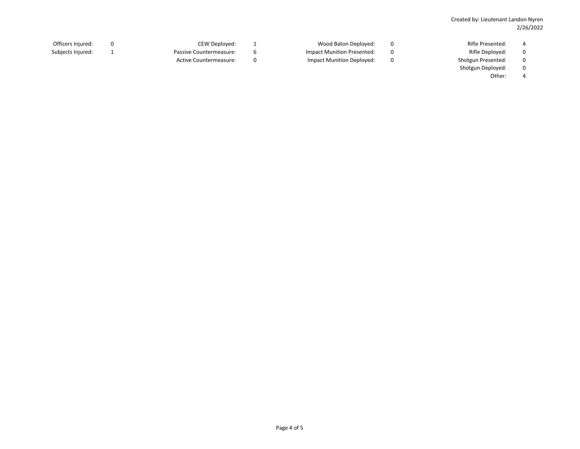- Officers Injured: 0 CEW Deployed: 1 Wood Baton Deployed: 0 Rifle Presented: 4 Subjects Injured: 1 1 1 1 Passive Countermeasure: 6 1 Impact Munition Presented: 0 1 Rifle Deployed: 0 Active Countermeasure:  $\begin{array}{ccc} 0 & \hspace{3cm} \text{Im} \text{part} \text{ M} \text{unit} \text{ion} \text{ Deployed:} & 0 & \hspace{3cm} \text{Shotgun Presented:} \end{array}$ 
	- Shotgun Deployed:
		- 0 4 Other:
- 
- 
- 
- 
-